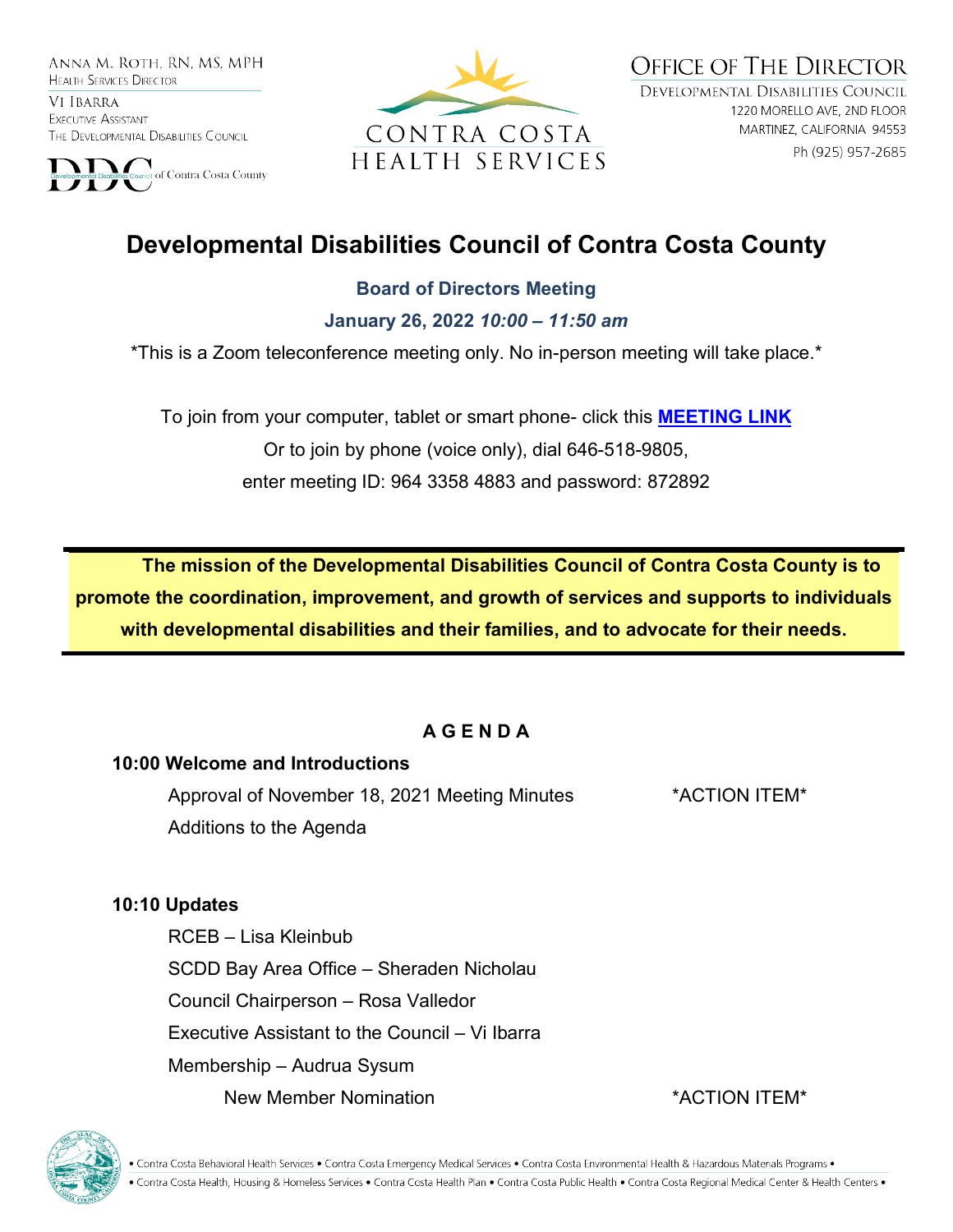ANNA M. ROTH. RN. MS. MPH **HEALTH SERVICES DIRECTOR** 

VI IBARRA EXECUTIVE ASSISTANT THE DEVELOPMENTAL DISABILITIES COUNCIL





**OFFICE OF THE DIRECTOR** DEVELOPMENTAL DISABILITIES COUNCIL 1220 MORELLO AVE, 2ND FLOOR MARTINEZ, CALIFORNIA 94553 Ph (925) 957-2685

# **Developmental Disabilities Council of Contra Costa County**

#### **Board of Directors Meeting**

**January 26, 2022** *10:00 – 11:50 am*

\*This is a Zoom teleconference meeting only. No in-person meeting will take place.\*

To join from your computer, tablet or smart phone- click this **[MEETING LINK](https://cchealth.zoom.us/j/96433584883?pwd=bEtCdk9wM0NyZHFVaVl0N3U3Rm1mQT09)** Or to join by phone (voice only), dial 646-518-9805, enter meeting ID: 964 3358 4883 and password: 872892

**The mission of the Developmental Disabilities Council of Contra Costa County is to promote the coordination, improvement, and growth of services and supports to individuals with developmental disabilities and their families, and to advocate for their needs.** 

#### **A G E N D A**

#### **10:00 Welcome and Introductions**

Approval of November 18, 2021 Meeting Minutes \*ACTION ITEM\* Additions to the Agenda

#### **10:10 Updates**

RCEB – Lisa Kleinbub SCDD Bay Area Office – Sheraden Nicholau Council Chairperson – Rosa Valledor Executive Assistant to the Council – Vi Ibarra Membership – Audrua Sysum New Member Nomination **the COV of the COV ACTION ITEM**\*



• Contra Costa Behavioral Health Services • Contra Costa Emergency Medical Services • Contra Costa Environmental Health & Hazardous Materials Programs • • Contra Costa Health, Housing & Homeless Services • Contra Costa Health Plan • Contra Costa Public Health • Contra Costa Regional Medical Center & Health Centers •